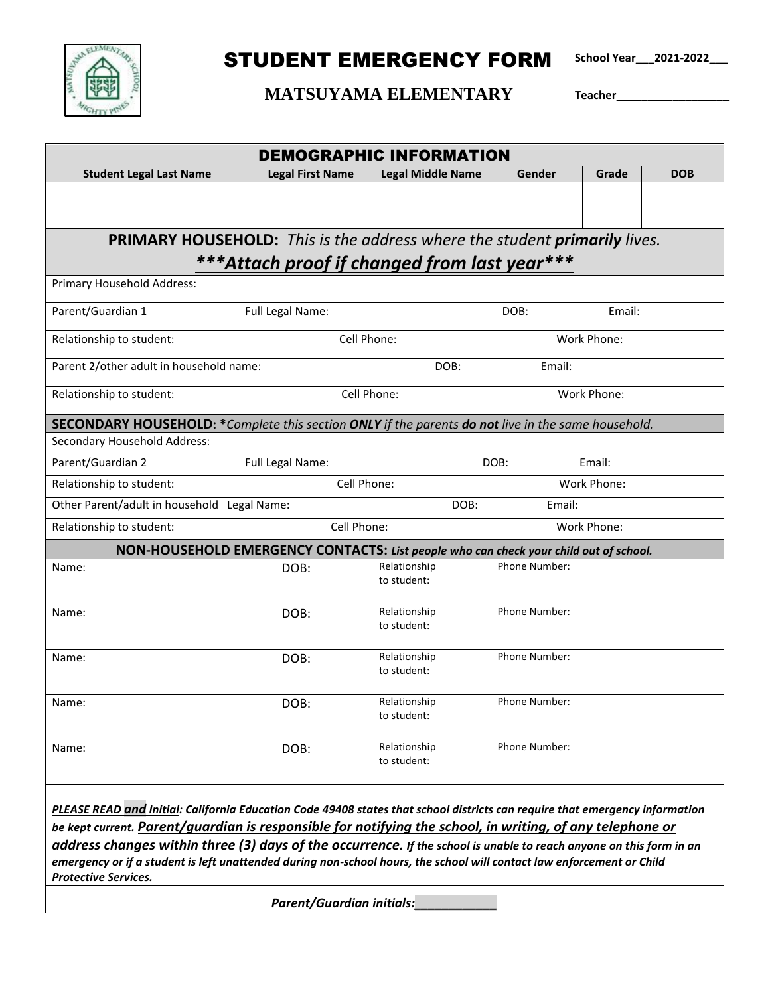

## STUDENT EMERGENCY FORM

**School Year\_\_\_2021-2022\_\_\_**

## **MATSUYAMA ELEMENTARY Teacher\_\_\_\_\_\_\_\_\_\_\_\_\_\_\_\_\_\_**

| <b>DEMOGRAPHIC INFORMATION</b>                                                                                                                                                                                                            |                                    |                             |               |       |            |  |  |  |
|-------------------------------------------------------------------------------------------------------------------------------------------------------------------------------------------------------------------------------------------|------------------------------------|-----------------------------|---------------|-------|------------|--|--|--|
| <b>Student Legal Last Name</b>                                                                                                                                                                                                            | <b>Legal First Name</b>            | <b>Legal Middle Name</b>    | Gender        | Grade | <b>DOB</b> |  |  |  |
|                                                                                                                                                                                                                                           |                                    |                             |               |       |            |  |  |  |
|                                                                                                                                                                                                                                           |                                    |                             |               |       |            |  |  |  |
| <b>PRIMARY HOUSEHOLD:</b> This is the address where the student <i>primarily lives</i> .                                                                                                                                                  |                                    |                             |               |       |            |  |  |  |
| ***Attach proof if changed from last year***                                                                                                                                                                                              |                                    |                             |               |       |            |  |  |  |
| Primary Household Address:                                                                                                                                                                                                                |                                    |                             |               |       |            |  |  |  |
| Parent/Guardian 1                                                                                                                                                                                                                         | Full Legal Name:<br>DOB:           |                             | Email:        |       |            |  |  |  |
| Relationship to student:                                                                                                                                                                                                                  | Cell Phone:<br>Work Phone:         |                             |               |       |            |  |  |  |
| Parent 2/other adult in household name:                                                                                                                                                                                                   | DOB:                               |                             | Email:        |       |            |  |  |  |
| Relationship to student:                                                                                                                                                                                                                  |                                    | Cell Phone:<br>Work Phone:  |               |       |            |  |  |  |
| <b>SECONDARY HOUSEHOLD:</b> *Complete this section ONLY if the parents do not live in the same household.                                                                                                                                 |                                    |                             |               |       |            |  |  |  |
| Secondary Household Address:                                                                                                                                                                                                              |                                    |                             |               |       |            |  |  |  |
| Parent/Guardian 2                                                                                                                                                                                                                         | Full Legal Name:<br>DOB:<br>Email: |                             |               |       |            |  |  |  |
| Relationship to student:                                                                                                                                                                                                                  | Cell Phone:<br>Work Phone:         |                             |               |       |            |  |  |  |
| Other Parent/adult in household Legal Name:<br>Email:<br>DOB:                                                                                                                                                                             |                                    |                             |               |       |            |  |  |  |
| Cell Phone:<br>Work Phone:<br>Relationship to student:                                                                                                                                                                                    |                                    |                             |               |       |            |  |  |  |
| NON-HOUSEHOLD EMERGENCY CONTACTS: List people who can check your child out of school.                                                                                                                                                     |                                    |                             |               |       |            |  |  |  |
| Name:                                                                                                                                                                                                                                     | DOB:                               | Relationship<br>to student: | Phone Number: |       |            |  |  |  |
| Name:                                                                                                                                                                                                                                     | DOB:                               | Relationship<br>to student: | Phone Number: |       |            |  |  |  |
| Name:                                                                                                                                                                                                                                     | DOB:                               | Relationship<br>to student: | Phone Number: |       |            |  |  |  |
| Name:                                                                                                                                                                                                                                     | DOB:                               | Relationship<br>to student: | Phone Number: |       |            |  |  |  |
| Name:                                                                                                                                                                                                                                     | DOB:                               | Relationship<br>to student: | Phone Number: |       |            |  |  |  |
| PLEASE READ and Initial: California Education Code 49408 states that school districts can require that emergency information<br>be kept current. Parent/guardian is responsible for notifying the school, in writing, of any telephone or |                                    |                             |               |       |            |  |  |  |
| address changes within three (3) days of the occurrence. If the school is unable to reach anyone on this form in an                                                                                                                       |                                    |                             |               |       |            |  |  |  |
| emergency or if a student is left unattended during non-school hours, the school will contact law enforcement or Child<br><b>Protective Services.</b>                                                                                     |                                    |                             |               |       |            |  |  |  |
|                                                                                                                                                                                                                                           | <b>Parent/Guardian initials:</b>   |                             |               |       |            |  |  |  |